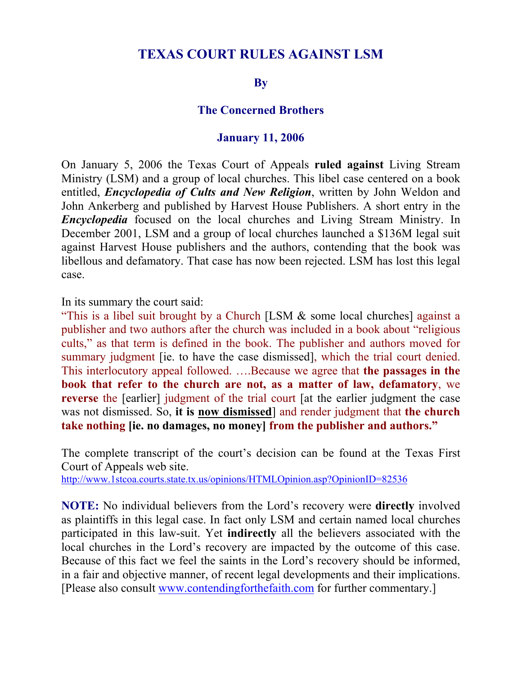# **TEXAS COURT RULES AGAINST LSM**

#### **By**

#### **The Concerned Brothers**

#### **January 11, 2006**

On January 5, 2006 the Texas Court of Appeals **ruled against** Living Stream Ministry (LSM) and a group of local churches. This libel case centered on a book entitled, *Encyclopedia of Cults and New Religion*, written by John Weldon and John Ankerberg and published by Harvest House Publishers. A short entry in the *Encyclopedia* focused on the local churches and Living Stream Ministry. In December 2001, LSM and a group of local churches launched a \$136M legal suit against Harvest House publishers and the authors, contending that the book was libellous and defamatory. That case has now been rejected. LSM has lost this legal case.

In its summary the court said:

"This is a libel suit brought by a Church [LSM & some local churches] against a publisher and two authors after the church was included in a book about "religious cults," as that term is defined in the book. The publisher and authors moved for summary judgment *fie.* to have the case dismissed, which the trial court denied. This interlocutory appeal followed. ….Because we agree that **the passages in the book that refer to the church are not, as a matter of law, defamatory**, we **reverse** the [earlier] judgment of the trial court [at the earlier judgment the case was not dismissed. So, **it is now dismissed**] and render judgment that **the church take nothing [ie. no damages, no money] from the publisher and authors."**

The complete transcript of the court's decision can be found at the Texas First Court of Appeals web site. http://www.1stcoa.courts.state.tx.us/opinions/HTMLOpinion.asp?OpinionID=82536

**NOTE:** No individual believers from the Lord's recovery were **directly** involved as plaintiffs in this legal case. In fact only LSM and certain named local churches participated in this law-suit. Yet **indirectly** all the believers associated with the local churches in the Lord's recovery are impacted by the outcome of this case. Because of this fact we feel the saints in the Lord's recovery should be informed, in a fair and objective manner, of recent legal developments and their implications. [Please also consult www.contendingforthefaith.com for further commentary.]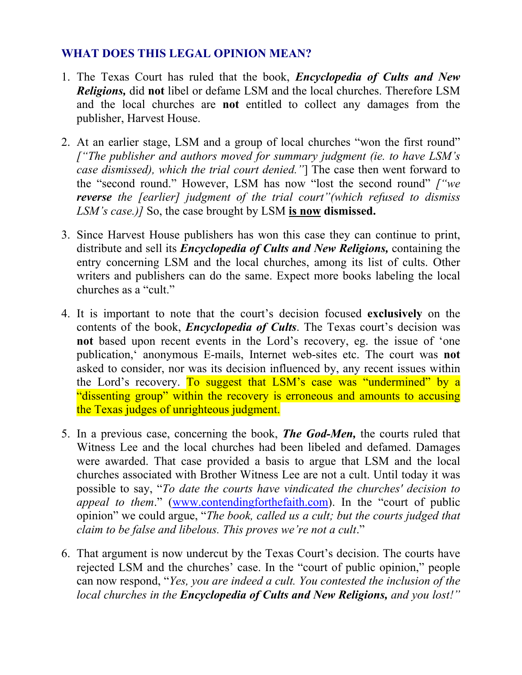## **WHAT DOES THIS LEGAL OPINION MEAN?**

- 1. The Texas Court has ruled that the book, *Encyclopedia of Cults and New Religions,* did **not** libel or defame LSM and the local churches. Therefore LSM and the local churches are **not** entitled to collect any damages from the publisher, Harvest House.
- 2. At an earlier stage, LSM and a group of local churches "won the first round" *["The publisher and authors moved for summary judgment (ie. to have LSM's case dismissed), which the trial court denied."*] The case then went forward to the "second round." However, LSM has now "lost the second round" *["we reverse the [earlier] judgment of the trial court"(which refused to dismiss LSM's case.)]* So, the case brought by LSM **is now dismissed.**
- 3. Since Harvest House publishers has won this case they can continue to print, distribute and sell its *Encyclopedia of Cults and New Religions,* containing the entry concerning LSM and the local churches, among its list of cults. Other writers and publishers can do the same. Expect more books labeling the local churches as a "cult."
- 4. It is important to note that the court's decision focused **exclusively** on the contents of the book, *Encyclopedia of Cults*. The Texas court's decision was **not** based upon recent events in the Lord's recovery, eg. the issue of 'one publication,' anonymous E-mails, Internet web-sites etc. The court was **not** asked to consider, nor was its decision influenced by, any recent issues within the Lord's recovery. To suggest that LSM's case was "undermined" by a "dissenting group" within the recovery is erroneous and amounts to accusing the Texas judges of unrighteous judgment.
- 5. In a previous case, concerning the book, *The God-Men,* the courts ruled that Witness Lee and the local churches had been libeled and defamed. Damages were awarded. That case provided a basis to argue that LSM and the local churches associated with Brother Witness Lee are not a cult. Until today it was possible to say, "*To date the courts have vindicated the churches' decision to appeal to them*." (www.contendingforthefaith.com). In the "court of public opinion" we could argue, "*The book, called us a cult; but the courts judged that claim to be false and libelous. This proves we're not a cult*."
- 6. That argument is now undercut by the Texas Court's decision. The courts have rejected LSM and the churches' case. In the "court of public opinion," people can now respond, "*Yes, you are indeed a cult. You contested the inclusion of the local churches in the Encyclopedia of Cults and New Religions, and you lost!"*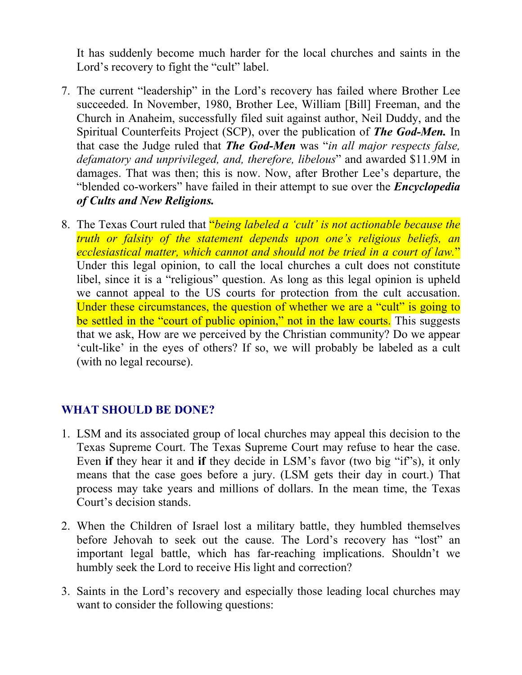It has suddenly become much harder for the local churches and saints in the Lord's recovery to fight the "cult" label.

- 7. The current "leadership" in the Lord's recovery has failed where Brother Lee succeeded. In November, 1980, Brother Lee, William [Bill] Freeman, and the Church in Anaheim, successfully filed suit against author, Neil Duddy, and the Spiritual Counterfeits Project (SCP), over the publication of *The God-Men.* In that case the Judge ruled that *The God-Men* was "*in all major respects false, defamatory and unprivileged, and, therefore, libelous*" and awarded \$11.9M in damages. That was then; this is now. Now, after Brother Lee's departure, the "blended co-workers" have failed in their attempt to sue over the *Encyclopedia of Cults and New Religions.*
- 8. The Texas Court ruled that "*being labeled a 'cult' is not actionable because the truth or falsity of the statement depends upon one's religious beliefs, an ecclesiastical matter, which cannot and should not be tried in a court of law.*" Under this legal opinion, to call the local churches a cult does not constitute libel, since it is a "religious" question. As long as this legal opinion is upheld we cannot appeal to the US courts for protection from the cult accusation. Under these circumstances, the question of whether we are a "cult" is going to be settled in the "court of public opinion," not in the law courts. This suggests that we ask, How are we perceived by the Christian community? Do we appear 'cult-like' in the eyes of others? If so, we will probably be labeled as a cult (with no legal recourse).

### **WHAT SHOULD BE DONE?**

- 1. LSM and its associated group of local churches may appeal this decision to the Texas Supreme Court. The Texas Supreme Court may refuse to hear the case. Even **if** they hear it and **if** they decide in LSM's favor (two big "if"s), it only means that the case goes before a jury. (LSM gets their day in court.) That process may take years and millions of dollars. In the mean time, the Texas Court's decision stands.
- 2. When the Children of Israel lost a military battle, they humbled themselves before Jehovah to seek out the cause. The Lord's recovery has "lost" an important legal battle, which has far-reaching implications. Shouldn't we humbly seek the Lord to receive His light and correction?
- 3. Saints in the Lord's recovery and especially those leading local churches may want to consider the following questions: